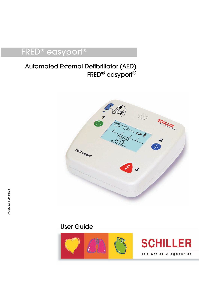# FRED® easyport®

## Automated External Defibrillator (AED) FRED® easyport®



## User Guide

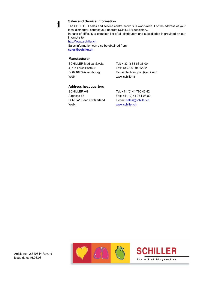#### **Sales and Service Information**

The SCHILLER sales and service centre network is world-wide. For the address of your local distributor, contact your nearest SCHILLER subsidiary.

In case of difficulty a complete list of all distributors and subsidiaries is provided on our internet site:

http://www.schiller.ch

i

Sales information can also be obtained from: **sales@schiller.ch**

#### **Manufacturer**

| SCHILLER Medical S.A.S. | Tel: +33 388 63 36 00   |
|-------------------------|-------------------------|
| 4. rue Louis Pasteur    | Fax: +33 3 88 94 12 82  |
| F-67162 Wissembourg     | E-mail: tech.support@so |
| Web:                    | www.schiller.fr         |

 $-33$  3 88 63 36 00 ail: tech.support@schiller.fr schiller.fr

#### **Address headquarters**

SCHILLER AG Tel: +41 (0) 41 766 42 42 Altgasse 68 Fax: +41 (0) 41 761 08 80 CH-6341 Baar, Switzerland E-mail: sales@schiller.ch Web: www.schiller.ch

Article no.: 2.510544 Rev.: d Issue date: 16.06.08



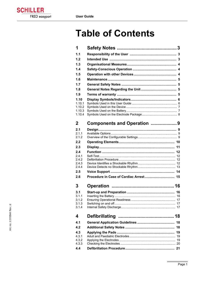**SCHILLER** FRED easyport

# **Table of Contents**

| 1                |                            |    |
|------------------|----------------------------|----|
| 1.1              |                            |    |
| 1.2              |                            |    |
| 1.3              |                            |    |
| 1.4              |                            |    |
| 1.5              |                            |    |
| 1.6              |                            |    |
| 1.7              |                            |    |
| 1.8              |                            |    |
| 1.9              |                            |    |
| 1.10             |                            |    |
| 1.10.1           |                            |    |
| 1.10.2           |                            |    |
| 1.10.3<br>1.10.4 |                            |    |
|                  |                            |    |
| 2                | Components and Operation 9 |    |
| 2.1              |                            |    |
| 2.1.1            |                            |    |
| 2.1.2            |                            |    |
| 2.2              |                            |    |
| 2.3              |                            |    |
| 2.4              |                            | 12 |
| 2.4.1<br>2.4.2   |                            |    |
| 2.4.3            |                            |    |
| 2.4.4            |                            |    |
| 2.5              |                            |    |
| 2.6              |                            |    |
| 3                |                            |    |
| 3.1              |                            |    |
| 3.1.1            |                            |    |
| 3.1.2<br>3.1.3   |                            |    |
| 3.1.4            |                            |    |
|                  |                            |    |
| 4                | <b>Defibrillating</b>      |    |
| 4.1              |                            | 18 |
| 4.2              |                            | 18 |
| 4.3              |                            | 19 |
| 4.3.1            |                            |    |
| 4.3.2<br>4.3.3   |                            |    |
| 4.4              |                            |    |

**The Common**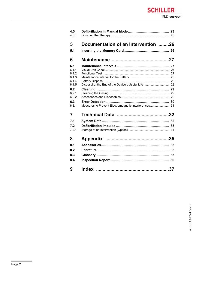### **SCHILLER** FRED easyport

| 4.5   |                                     |
|-------|-------------------------------------|
| 4.5.1 |                                     |
| 5     | Documentation of an Intervention 26 |
| 5.1   |                                     |
| 6     |                                     |
| 6.1   |                                     |
| 6.1.1 |                                     |
| 6.1.2 |                                     |
| 6.1.3 |                                     |
| 6.1.4 |                                     |
| 6.1.5 |                                     |
| 6.2   |                                     |
| 6.2.1 |                                     |
| 6.2.2 |                                     |
| 6.3   |                                     |
| 6.3.1 |                                     |
| 7     |                                     |
| 7.1   |                                     |
| 7.2   |                                     |
| 7.2.1 |                                     |
| 8     |                                     |
| 8.1   |                                     |
| 8.2   |                                     |
| 8.3   |                                     |
| 8.4   |                                     |
| 9     |                                     |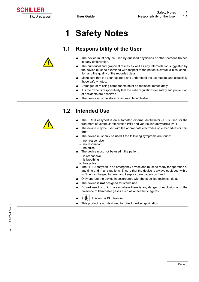<span id="page-4-0"></span>

# **1 Safety Notes**

### **1.1 Responsibility of the User**

- The device must only be used by qualified physicians or other persons trained in early defibrillation.
- The numerical and graphical results as well as any interpretation suggested by the device must be examined with respect to the patient's overall clinical condition and the quality of the recorded data.
- Make sure that the user has read and understood the user guide, and especially these safety notes.
- ▲ Damaged or missing components must be replaced immediately.
- $\blacktriangle$  It is the owner's responsibility that the valid regulations for safety and prevention of accidents are observed.
- $\blacktriangle$  The device must be stored inaccessible to children.

### <span id="page-4-2"></span>**1.2 Intended Use**

- The FRED easyport is an automated external defibrillator (AED) used for the treatment of ventricular fibrillation (VF) and ventricular tachycardia (VT).
- $\blacktriangle$  The device may be used with the appropriate electrodes on either adults or children.
- The device must only be used if the following symptoms are found:
	- non-responsive
	- no respiration
	- no pulse
- The device must not be used if the patient:
- is responsive
- is breathing
- has pulse
- $\triangle$  The FRED easyport is an emergency device and must be ready for operation at any time and in all situations. Ensure that the device is always equipped with a sufficiently charged battery, and keep a spare battery on hand.
- $\triangle$  Only operate the device in accordance with the specified technical data.
- **▲** The device is **not** designed for sterile use.
- ▲ Do not use this unit in areas where there is any danger of explosion or in the presence of flammable gases such as anaesthetic agents.
	- This unit is BF classified.
- This product is not designed for direct cardiac application.

<span id="page-4-1"></span>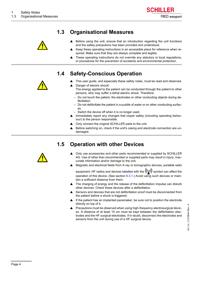

### **1.3 Organisational Measures**

<span id="page-5-0"></span>

- Before using the unit, ensure that an introduction regarding the unit functions and the safety precautions has been provided and understood.
- Keep these operating instructions in an accessible place for reference when required. Make sure that they are always complete and legible.
- $\blacktriangle$  These operating instructions do not override any statutory or local regulations, or procedures for the prevention of accidents and environmental protection.

### **1.4 Safety-Conscious Operation**

<span id="page-5-1"></span>

- <span id="page-5-3"></span>This user guide, and especially these safety notes, must be read and observed.
- Danger of electric shock!
- The energy applied to the patient can be conducted through the patient to other persons, who may suffer a lethal electric shock. Therefore:
	- Do not touch the patient, the electrodes or other conducting objects during defibrillation
	- Do not defibrillate the patient in a puddle of water or on other conducting surfaces.
- Switch the device off when it is no longer used.
- $\blacktriangle$  Immediately report any changes that impair safety (including operating behaviour) to the person responsible.
- Only connect the original SCHILLER pads to the unit.
- ▲ Before switching on, check if the unit's casing and electrode connection are undamaged.

### **1.5 Operation with other Devices**

<span id="page-5-2"></span>

- Only use accessories and other parts recommended or supplied by SCHILLER AG. Use of other than recommended or supplied parts may result in injury, inaccurate information and/or damage to the unit.
- Magnetic and electrical fields from X-ray or tomographic devices, portable radio

equipment, HF radios and devices labelled with the  $((\bullet))$  symbol can affect the operation of this device. (See section  $6.3.1$ .) Avoid using such devices or maintain a sufficient distance from them.

- The charging of energy and the release of the defibrillation impulse can disturb other devices. Check these devices after a defibrillation.
- Sensors and devices that are not defibrillation proof must be disconnected from the patient before a shock is triggered.
- If the patient has an implanted pacemaker, be sure not to position the electrode directly on top of it.
- Precautions must be observed when using high-frequency electrosurgical devices. A distance of at least 15 cm must be kept between the defibrillation electrodes and the HF surgical electrodes. If in doubt, disconnect the electrodes and sensors from the unit during use of a HF surgical device.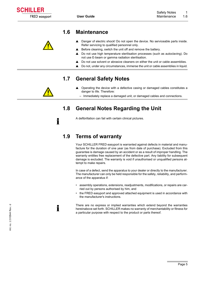### <span id="page-6-0"></span>**1.6 Maintenance**

- $\triangle$  Danger of electric shock! Do not open the device. No serviceable parts inside. Refer servicing to qualified personnel only.
- $\triangle$  Before cleaning, switch the unit off and remove the battery.
- ▲ Do not use high temperature sterilisation processes (such as autoclaving). Do not use E-beam or gamma radiation sterilisation.
- Do not use solvent or abrasive cleaners on either the unit or cable assemblies.
- $\blacktriangle$  Do not, under any circumstances, immerse the unit or cable assemblies in liquid.

### **1.7 General Safety Notes**

- Operating the device with a defective casing or damaged cables constitutes a danger to life. Therefore:
	- Immediately replace a damaged unit, or damaged cables and connections.

### **1.8 General Notes Regarding the Unit**

<span id="page-6-4"></span>A defibrillation can fail with certain clinical pictures.

### **1.9 Terms of warranty**

Your SCHILLER FRED easyport is warranted against defects in material and manufacture for the duration of one year (as from date of purchase). Excluded from this guarantee is damage caused by an accident or as a result of improper handling. The warranty entitles free replacement of the defective part. Any liability for subsequent damage is excluded. The warranty is void if unauthorised or unqualified persons attempt to make repairs.

In case of a defect, send the apparatus to your dealer or directly to the manufacturer. The manufacturer can only be held responsible for the safety, reliability, and performance of the apparatus if:

- assembly operations, extensions, readjustments, modifications, or repairs are carried out by persons authorised by him, and
- the FRED easyport and approved attached equipment is used in accordance with the manufacturer's instructions.

There are no express or implied warranties which extend beyond the warranties hereinabove set forth. SCHILLER makes no warranty of merchantability or fitness for a particular purpose with respect to the product or parts thereof.

<span id="page-6-2"></span>

<span id="page-6-3"></span>i

i

<span id="page-6-1"></span>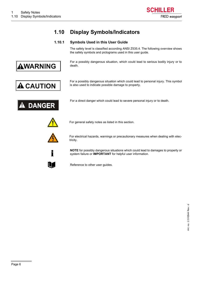

### **1.10 Display Symbols/Indicators**

#### **1.10.1 Symbols Used in this User Guide**

The safety level is classified according ANSI Z535.4. The following overview shows the safety symbols and pictograms used in this user guide.

For a possibly dangerous situation, which could lead to serious bodily injury or to death.

For a possibly dangerous situation which could lead to personal injury. This symbol



<span id="page-7-1"></span><span id="page-7-0"></span>AWARNING

is also used to indicate possible damage to property.



For a direct danger which could lead to severe personal injury or to death.



For general safety notes as listed in this section.



For electrical hazards, warnings or precautionary measures when dealing with electricity.



**NOTE** for possibly dangerous situations which could lead to damages to property or system failure or **IMPORTANT** for helpful user information.



Reference to other user guides.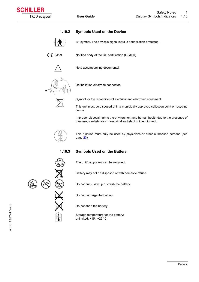#### **1.10.2 Symbols Used on the Device**

<span id="page-8-0"></span>

<span id="page-8-2"></span>BF symbol. The device's signal input is defibrillation protected.

 $C \in 0459$ Notified body of the CE certification (G-MED).

Note accompanying documents!



Defibrillation electrode connector.



Symbol for the recognition of electrical and electronic equipment.

This unit must be disposed of in a municipally approved collection point or recycling centre.

Improper disposal harms the environment and human health due to the presence of dangerous substances in electrical and electronic equipment.



<span id="page-8-3"></span>This function must only be used by physicians or other authorised persons (see page [23\)](#page-24-0).

#### **1.10.3 Symbols Used on the Battery**



Battery may not be disposed of with domestic refuse.

Do not burn, saw up or crash the battery.

Do not recharge the battery.

Do not short the battery.

Storage temperature for the battery: unlimited: +15...+25 °C.

<span id="page-8-1"></span>

Art. no.: 2.510544 Rev.: d

Art. no.: 2.510544 Rev.: d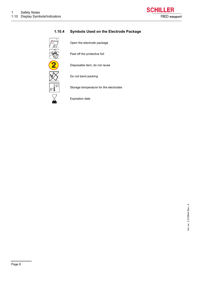

#### **1.10.4 Symbols Used on the Electrode Package**

<span id="page-9-0"></span>

<span id="page-9-1"></span>Open the electrode package

Peel off the protective foil

Disposable item; do not reuse



Do not bend packing

Storage temperature for the electrodes

Expiration date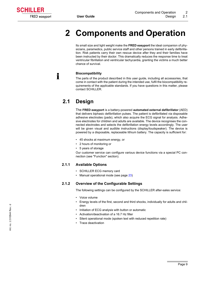<span id="page-10-0"></span>

# **2 Components and Operation**

Its small size and light weight make the **FRED easyport** the ideal companion of physicians, paramedics, public service staff and other persons trained in early defibrillation. Risk patients carry their own rescue device after they and their families have been instructed by their doctor. This dramatically reduces the response time to treat ventricular fibrillation and ventricular tachycardia, granting the victims a much better chance of survival.

#### <span id="page-10-4"></span>**Biocompatibility**

The parts of the product described in this user guide, including all accessories, that come in contact with the patient during the intended use, fulfil the biocompatibility requirements of the applicable standards. If you have questions in this matter, please contact SCHILLER.

### <span id="page-10-1"></span>**2.1 Design**

i

The **FRED easyport** is a battery-powered **automated external defibrillator** (AED) that delivers biphasic defibrillation pulses. The patient is defibrillated via disposable adhesive electrodes (pads), which also acquire the ECG signal for analysis. Adhesive electrodes for children and adults are available. The device recognises the connected electrodes and selects the defibrillation energy levels accordingly. The user will be given visual and audible instructions (display/loudspeaker). The device is powered by a disposable, replaceable lithium battery. The capacity is sufficient for:

- 45 shocks at maximum energy, or
- 2 hours of monitoring or
- 5 years of storage

Our customer service can configure various device functions via a special PC connection (see "Function" section).

#### <span id="page-10-2"></span>**2.1.1 Available Options**

- <span id="page-10-6"></span>• SCHILLER ECG memory card
- <span id="page-10-5"></span>• Manual operational mode (see page [23](#page-24-0))

#### <span id="page-10-3"></span>**2.1.2 Overview of the Configurable Settings**

The following settings can be configured by the SCHILLER after-sales service:

- Voice volume
- Energy levels of the first, second and third shocks, individually for adults and children
- Initiation of ECG analysis with button or automatic
- Activation/deactivation of a 16.7 Hz filter
- Silent operational mode (spoken text with reduced repetition rate)
- Trace deactivation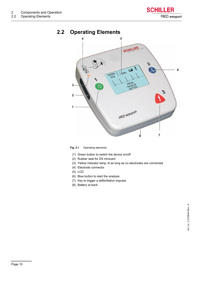

### <span id="page-11-0"></span>**2.2 Operating Elements**

<span id="page-11-1"></span>

**Fig. 2.1** Operating elements

- (1) Green button to switch the device on/off
- (2) Rubber seal for DS minicard
- (3) Yellow indicator lamp; lit as long as no electrodes are connected
- (4) Electrode connector
- (5) LCD
- (6) Blue button to start the analysis
- (7) Key to trigger a defibrillation impulse
- (8) Battery at back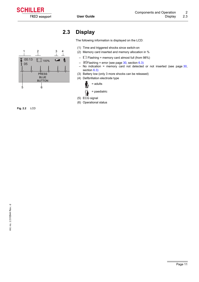<span id="page-12-0"></span>

1 2 3 4

■ 100%

 $\overline{\phantom{a}}$ 

 $\mathbf{f}$ 

PRESS BLUE BUTTON

### **2.3 Display**

<span id="page-12-1"></span>The following information is displayed on the LCD:

- (1) Time and triggered shocks since switch-on
- (2) Memory card inserted and memory allocation in %
	- $\Box$  Flashing = memory card almost full (from 98%)
- $\mathbb{\widehat{M}}$  Flashing = error (see page [30](#page-31-1), section [6.3\)](#page-31-0)
- No indication = memory card not detected or not inserted (see page [30,](#page-31-1) section [6.3](#page-31-0))
- (3) Battery low (only 3 more shocks can be released)
- (4) Defibrillation electrode type



- = paediatric
- (5) ECG signal
- (6) Operational status



5 6

00:13

 $\frac{1}{4}$ 05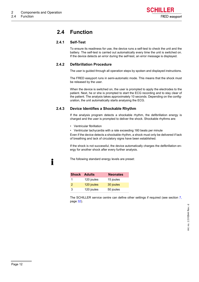### <span id="page-13-0"></span>**2.4 Function**

#### <span id="page-13-1"></span>**2.4.1 Self-Test**

<span id="page-13-7"></span>To ensure its readiness for use, the device runs a self-test to check the unit and the battery. The self-test is carried out automatically every time the unit is switched on. If the device detects an error during the self-test, an error message is displayed.

#### <span id="page-13-2"></span>**2.4.2 Defibrillation Procedure**

<span id="page-13-5"></span>The user is guided through all operation steps by spoken and displayed instructions.

The FRED easyport runs in semi-automatic mode. This means that the shock must be released by the user.

When the device is switched on, the user is prompted to apply the electrodes to the patient. Next, he or she is prompted to start the ECG recording and to stay clear of the patient. The analysis takes approximately 10 seconds. Depending on the configuration, the unit automatically starts analysing the ECG.

#### <span id="page-13-3"></span>**2.4.3 Device Identifies a Shockable Rhythm**

<span id="page-13-6"></span>If the analysis program detects a shockable rhythm, the defibrillation energy is charged and the user is prompted to deliver the shock. Shockable rhythms are:

• Ventricular fibrillation

i

• Ventricular tachycardia with a rate exceeding 180 beats per minute

Even if the device detects a shockable rhythm, a shock must only be delivered if lack of breathing and lack of circulatory signs have been established.

If the shock is not successful, the device automatically charges the defibrillation energy for another shock after every further analysis.

The following standard energy levels are preset:

<span id="page-13-4"></span>

|   | <b>Shock Adults</b> | <b>Neonates</b> |
|---|---------------------|-----------------|
| 1 | 120 joules          | 15 joules       |
| 2 | 120 joules          | 30 joules       |
| 3 | 120 joules          | 50 joules       |

The SCHILLER service centre can define other settings if required (see section [7,](#page-33-0) page [32\)](#page-33-0).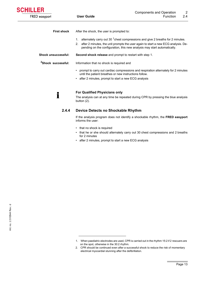<span id="page-14-4"></span><span id="page-14-3"></span><span id="page-14-1"></span>

| <b>First shock</b>             | After the shock, the user is prompted to:                                                                                                                                                                                                                            |  |  |
|--------------------------------|----------------------------------------------------------------------------------------------------------------------------------------------------------------------------------------------------------------------------------------------------------------------|--|--|
|                                | alternately carry out 30 <sup>1</sup> chest compressions and give 2 breaths for 2 minutes.<br>1.<br>2. after 2 minutes, the unit prompts the user again to start a new ECG analysis. De-<br>pending on the configuration, this new analysis may start automatically. |  |  |
| <b>Shock unsuccessful:</b>     | <b>Second shock release</b> and prompt to restart with step 1.                                                                                                                                                                                                       |  |  |
| <sup>2</sup> Shock successful: | Information that no shock is required and                                                                                                                                                                                                                            |  |  |
|                                | prompt to carry out cardiac compressions and respiration alternately for 2 minutes<br>until the patient breathes or new instructions follow.<br>• after 2 minutes, prompt to start a new ECG analysis                                                                |  |  |

**For Qualified Physicians only** 

The analysis can at any time be repeated during CPR by pressing the blue analysis button (2).

#### **2.4.4 Device Detects no Shockable Rhythm**

<span id="page-14-2"></span>If the analysis program does not identify a shockable rhythm, the **FRED easyport** informs the user:

- that no shock is required
- that he or she should alternately carry out 30 chest compressions and 2 breaths for 2 minutes
- after 2 minutes, prompt to start a new ECG analysis

FRED easyport

<span id="page-14-0"></span>i

**SCHILLER** 

Art. no.: 2.510544 Rev.: d

Art. no.: 2.510544 Rev.: d

<sup>1.</sup> When paediatric electrodes are used, CPR is carried out in the rhythm 15:2 if 2 rescuers are on the spot, otherwise in the 30:2 rhythm.

<sup>2.</sup> CPR should be continued even after a successful shock to reduce the risk of momentary electrical myocardial stunning after the defibrillation.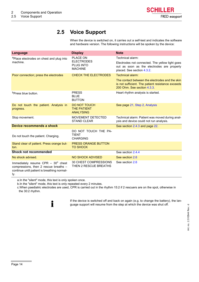### **2.5 Voice Support**

<span id="page-15-1"></span>When the device is switched on, it carries out a self-test and indicates the software and hardware version. The following instructions will be spoken by the device:

<span id="page-15-0"></span>

| <b>Language</b>                                                                                                                    | <b>Display</b>                                                | <b>Note</b>                                                                                                                         |
|------------------------------------------------------------------------------------------------------------------------------------|---------------------------------------------------------------|-------------------------------------------------------------------------------------------------------------------------------------|
| aPlace electrodes on chest and plug into                                                                                           | <b>PLACE ON</b>                                               | Technical alarm:                                                                                                                    |
| machine.                                                                                                                           | <b>ELECTRODES</b><br><b>PLUG INTO</b><br><b>MACHINE</b>       | Electrodes not connected. The yellow light goes<br>out as soon as the electrodes are properly<br>placed. See section 4.3.2.         |
| Poor connection; press the electrodes                                                                                              | <b>CHECK THE ELECTRODES</b>                                   | Technical alarm:                                                                                                                    |
|                                                                                                                                    |                                                               | The contact between the electrodes and the skin<br>is not sufficient. The patient resistance exceeds<br>200 Ohm. See section 4.3.3. |
| <sup>b</sup> Press blue button.                                                                                                    | <b>PRESS</b><br><b>BLUE</b><br><b>BUTTON</b>                  | Heart rhythm analysis is started.                                                                                                   |
| Do not touch the patient. Analysis in<br>progress.                                                                                 | <b>DO NOT TOUCH</b><br><b>THE PATIENT</b><br><b>ANALYSING</b> | See page 21, Step 2, Analysis                                                                                                       |
| Stop movement.                                                                                                                     | MOVEMENT DETECTED<br><b>STAND CLEAR</b>                       | Technical alarm: Patient was moved during anal-<br>ysis and device could not run analysis.                                          |
| Device recommends a shock                                                                                                          |                                                               | See section 2.4.3 and page 22.                                                                                                      |
| Do not touch the patient. Charging.                                                                                                | DO NOT TOUCH THE PA-<br>TIENT<br><b>CHARGING</b>              |                                                                                                                                     |
| Stand clear of patient. Press orange but-<br>ton.                                                                                  | <b>PRESS ORANGE BUTTON</b><br><b>TO SHOCK</b>                 |                                                                                                                                     |
| <b>Shock not recommended</b>                                                                                                       |                                                               | See section 2.4.4                                                                                                                   |
| No shock advised.                                                                                                                  | <b>NO SHOCK ADVISED</b>                                       | See section 2.6                                                                                                                     |
| Immediately resume CPR $-30^{\circ}$ chest<br>compressions, then 2 rescue breaths -<br>continue until patient is breathing normal- | 30 CHEST COMPRESSIONS<br>THEN 2 RESCUE BREATHS                | See section 2.6                                                                                                                     |

ly.

a.In the "silent" mode, this text is only spoken once.

i

b.In the "silent" mode, this text is only repeated every 2 minutes.

c.When paediatric electrodes are used, CPR is carried out in the rhythm 15:2 if 2 rescuers are on the spot, otherwise in the 30:2 rhythm.

> If the device is switched off and back on again (e.g. to change the battery), the language support will resume from the step at which the device was shut off.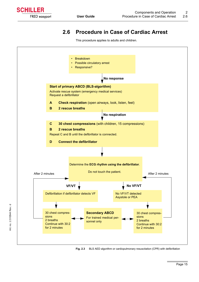

Art. no.: 2.510544 Rev.: d

Art. no.: 2.510544 Rev.: d

### **2.6 Procedure in Case of Cardiac Arrest**

<span id="page-16-4"></span><span id="page-16-3"></span><span id="page-16-2"></span>This procedure applies to adults and children.

<span id="page-16-0"></span>

<span id="page-16-1"></span>**Fig. 2.3** BLS AED algorithm or cardiopulmonary resuscitation (CPR) with defibrillation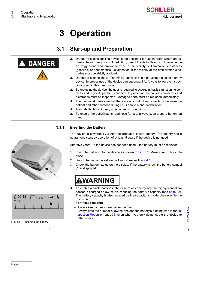

# **3 Operation**

### <span id="page-17-5"></span>**3.1 Start-up and Preparation**

<span id="page-17-1"></span><span id="page-17-0"></span>

- <span id="page-17-4"></span>Danger of explosion! The device is not designed for use in areas where an explosion hazard may occur. In addition, use of the defibrillator is not permitted in an oxygen-enriched environment or in the vicinity of flammable substances (gasoline) or anaesthetics. Oxygenation in the vicinity of the defibrillation electrodes must be strictly avoided.
- Danger of electric shock! The FRED easyport is a high-voltage electric therapy device. Improper use of the device can endanger life. Always follow the instructions given in this user guide.
- $\blacktriangle$  Before using the device, the user is required to ascertain that it is functioning correctly and in good operating condition. In particular, the cables, connectors and electrodes must be inspected. Damaged parts must be replaced immediately.
- The user must make sure that there are no conductive connections between the patient and other persons during ECG analysis and defibrillation.
- A Avoid defibrillation in very moist or wet surroundings.
- $\blacktriangle$  To ensure the defibrillator's readiness for use, always keep a spare battery on hand.

#### **3.1.1 Inserting the Battery**

<span id="page-17-3"></span>The device is powered by a non-rechargeable lithium battery. The battery has a guaranteed standby operation of at least 5 years if the device is not used.

After five years – if the device has not been used – the battery must be replaced.

- 1. Insert the battery into the device as shown in  $Fig. 3.1$ . Make sure it clicks into place.
- 2. Switch the unit on. A self-test will run. (See section [2.4.1.](#page-13-1))
- 3. Check the battery status on the display. If the battery is low, the battery symbol (1) is displayed.

# **WARNING**

To enable a quick reaction in the case of any emergency, the high-potential capacitor is charged on switch-on, reducing the battery's capacity (see page [32\)](#page-33-2). The battery capacity is also reduced by the capacitor's trickle charge while the unit is on.

#### **For these reasons:**

- Always keep a new spare battery on hand
- Always note the number of switch-ons and the battery's running time in the [In](#page-37-0)[spection Report](#page-37-0) on page [36](#page-37-0), even when you only demonstrate the device to other users.

<span id="page-17-2"></span>



1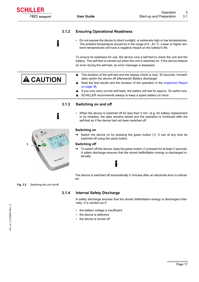#### **3.1.2 Ensuring Operational Readiness**

<span id="page-18-0"></span>i

i

<span id="page-18-4"></span>• Do not expose the device to direct sunlight, or extremely high or low temperatures. The ambient temperature should be in the range of 0...40 °C. Lower or higher ambient temperatures will have a negative impact on the battery's life.

To ensure its readiness for use, the device runs a self-test to check the unit and the battery. The self-test is carried out when the unit is switched on. If the device detects an error during the self-test, an error message is displayed.

- **A** CAUTION
- ately switch the device off afterwards! Battery discharge! Note the test results and the duration of the operation in the [Inspection Report](#page-37-0) on page [36.](#page-37-0)

 $\blacktriangle$  The duration of the self-test and the display check is max. 30 seconds. Immedi-

- $\blacktriangle$  If you only carry out the self-tests, the battery will last for approx. 30 switch-ons.
- ▲ SCHILLER recommends always to keep a spare battery on hand.

#### **3.1.3 Switching on and off**

• When the device is switched off for less than 5 min. (e.g. for battery replacement or by mistake), the data remains stored and the operation is continued after the self-test as if the device had not been switched off.

#### **Switching on**

 $\rightarrow$  Switch the device on by pressing the green button (1). It can at any time be switched off using the same button.

#### **Switching off**

 $\rightarrow$  To switch off the device, keep the green button (1) pressed for at least 3 seconds. A safety discharge ensures that the stored defibrillation energy is discharged internally.

### i

The device is switched off automatically 5 minutes after an electrode error is indicated.

#### <span id="page-18-2"></span>**Fig. 3.2** Switching the unit on/off

#### **3.1.4 Internal Safety Discharge**

<span id="page-18-3"></span>A safety discharge ensures that the stored defibrillation energy is discharged internally. It is carried out if:

- the battery voltage is insufficient
- the device is defective
- the device is turned off



<span id="page-18-1"></span>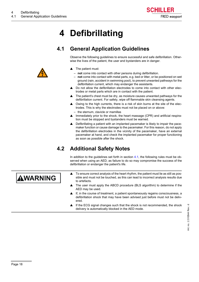# <span id="page-19-3"></span>**4 Defibrillating**

### <span id="page-19-5"></span>**4.1 General Application Guidelines**

Observe the following guidelines to ensure successful and safe defibrillation. Otherwise the lives of the patient, the user and bystanders are in danger.

- The patient must:
	- **not** come into contact with other persons during defibrillation.
- **not** come into contact with metal parts, e.g. bed or litter, or be positioned on wet ground (rain, accident in swimming pool), to prevent unwanted pathways for the defibrillation current, which may endanger the assistants.
- Do not allow the defibrillation electrodes to come into contact with other electrodes or metal parts which are in contact with the patient.
- The patient's chest must be dry, as moisture causes unwanted pathways for the defibrillation current. For safety, wipe off flammable skin cleansing agents.
- Owing to the high currents, there is a risk of skin burns at the site of the electrodes. This is why the electrodes must not be placed on or above: – the sternum, clavicle or mamillas
- $\blacktriangle$  Immediately prior to the shock, the heart massage (CPR) and artificial respiration must be stopped and bystanders must be warned.
- Defibrillating a patient with an implanted pacemaker is likely to impair the pacemaker function or cause damage to the pacemaker. For this reason, do not apply the defibrillation electrodes in the vicinity of the pacemaker, have an external pacemaker at hand, and check the implanted pacemaker for proper functioning as soon as possible after the shock.

### **4.2 Additional Safety Notes**

<span id="page-19-4"></span>In addition to the guidelines set forth in section [4.1](#page-19-1), the following rules must be observed when using an AED, as failure to do so may compromise the success of the defibrillation or endanger the patient's life.

# <span id="page-19-2"></span>AWARNING

- $\blacktriangle$  To ensure correct analysis of the heart rhythm, the patient must lie as still as possible and must not be touched, as this can lead to incorrect analysis results due to artefacts.
- The user must apply the ABCD procedure (BLS algorithm) to determine if the AED may be used.
- If, in the course of treatment, a patient spontaneously regains consciousness, a defibrillation shock that may have been advised just before must not be delivered.
- If the ECG signal changes such that the shock is not recommended, the shock delivery is automatically blocked in the AED mode.

<span id="page-19-1"></span><span id="page-19-0"></span>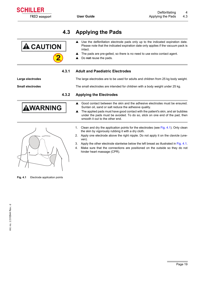### <span id="page-20-4"></span>**4.3 Applying the Pads**

<span id="page-20-0"></span>

FRED easyport

**SCHILLER** 

- ▲ Use the defibrillation electrode pads only up to the indicated expiration date. Please note that the indicated expiration date only applies if the vacuum pack is intact.
- $\blacktriangle$  The pads are pre-gelled, so there is no need to use extra contact agent.
- <span id="page-20-3"></span>▲ Do **not** reuse the pads.

#### **4.3.1 Adult and Paediatric Electrodes**

<span id="page-20-1"></span>**Large electrodes** The large electrodes are to be used for adults and children from 25 kg body weight.

<span id="page-20-2"></span>**Small electrodes** The small electrodes are intended for children with a body weight under 25 kg.

### **4.3.2 Applying the Electrodes**

- $\triangle$  Good contact between the skin and the adhesive electrodes must be ensured. Suntan oil, sand or salt reduce the adhesive quality.
- $\blacktriangle$  The applied pads must have good contact with the patient's skin, and air bubbles under the pads must be avoided. To do so, stick on one end of the pad, then smooth it out to the other end.
- 1. Clean and dry the application points for the electrodes (see Fig. 4.1). Only clean the skin by vigorously rubbing it with a dry cloth.
- 2. Apply one electrode above the right nipple. Do not apply it on the clavicle (uneven).
- 3. Apply the other electrode slantwise below the left breast as illustrated in Fig. 4.1.
- 4. Make sure that the connections are positioned on the outside so they do not hinder heart massage (CPR).



AWARNING

Fig. 4.1 Electrode application points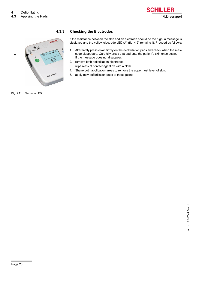

#### **4.3.3 Checking the Electrodes**

<span id="page-21-0"></span>

<span id="page-21-1"></span>If the resistance between the skin and an electrode should be too high, a message is displayed and the yellow electrode LED (A) (fig. 4.2) remains lit. Proceed as follows:

- 1. Alternately press down firmly on the defibrillation pads and check when the message disappears. Carefully press that pad onto the patient's skin once again. If the message does not disappear,
- 2. remove both defibrillation electrodes
- 3. wipe rests of contact agent off with a cloth
- 4. Shave both application areas to remove the uppermost layer of skin.
- 5. apply new defibrillation pads to these points

**Fig. 4.2** Electrode LED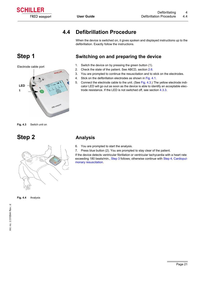### **4.4 Defibrillation Procedure**

<span id="page-22-3"></span>When the device is switched on, it gives spoken and displayed instructions up to the defibrillation. Exactly follow the instructions.

### <span id="page-22-4"></span>**Step 1 Switching on and preparing the device**

- 1. Switch the device on by pressing the green button (1).
- 2. Check the state of the patient. See ABCD, section [2.6](#page-16-0).
- 3. You are prompted to continue the resuscitation and to stick on the electrodes.
- 4. Stick on the defibrillation electrodes as shown in Fig. 4.1.
- 5. Connect the electrode cable to the unit. (See Fig. 4.3.) The yellow electrode indicator LED will go out as soon as the device is able to identify an acceptable electrode resistance. If the LED is not switched off, see section [4.3.3](#page-21-0).

**Fig. 4.3** Switch unit on

Electrode cable port

**SCHILLER** 

FRED e

**LED 1**

<span id="page-22-0"></span>FRED easyport

**SCHILLER** 

## <span id="page-22-5"></span><span id="page-22-2"></span>**Step 2 Analysis**



- <span id="page-22-1"></span>6. You are prompted to start the analysis.
- 7. Press blue button (2). You are prompted to stay clear of the patient.

If the device detects ventricular fibrillation or ventricular tachycardia with a heart rate exceeding 180 beats/min., Step 3 follows; otherwise continue with Step 4, Cardiopulmonary resuscitation.

**Fig. 4.4** Analysis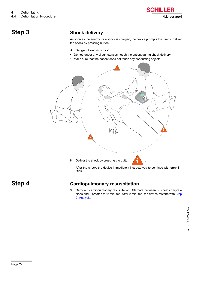

### <span id="page-23-0"></span>**Step 3 Shock delivery**

As soon as the energy for a shock is charged, the device prompts the user to deliver the shock by pressing button 3.

- ▲ Danger of electric shock!
- Do not, under any circumstances, touch the patient during shock delivery.
- Make sure that the patient does not touch any conducting objects.



After the shock, the device immediately instructs you to continue with **step 4** – CPR.

<span id="page-23-1"></span>

### **Step 4 Cardiopulmonary resuscitation**

9. Carry out cardiopulmonary resuscitation. Alternate between 30 chest compres-sions and 2 breaths for 2 minutes. After 2 minutes, the device restarts with [Step](#page-22-2) [2,](#page-22-2) [Analysis](#page-22-1).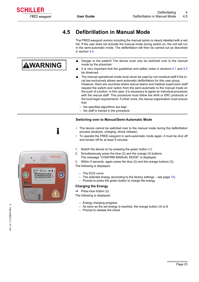### **4.5 Defibrillation in Manual Mode**

The FRED easyport version including the manual option is clearly labelled with a red foil. If the user does not activate the manual mode during switch on, the unit will run in the semi-automatic mode. The defibrillation will then be carried out as described in section [4.4](#page-22-0).

- $\triangle$  Danger to the patient! The device must only be switched over to the manual mode by the physician.
- It is very important that the quidelines and safety notes in sections  $4.1$  and  $4.2$ be observed.
- The manual operational mode must never be used by non-medical staff if the local law exclusively allows semi-automatic defibrillators for this user group. However, there are countries where rescue teams and medical supervision staff request the switch-over option from the semi-automatic to the manual mode on the push of a button. In this case, it is necessary to agree an individual procedure with the rescue staff. This procedure must follow the AHA or ERC protocols or the local legal requirements. Further more, the rescue organisation must ensure that
	- the specified algorithms are kept
	- the staff is trained in the procedure

#### **Switching over to Manual/Semi-Automatic Mode**

- The device cannot be switched over to the manual mode during the defibrillation process (analysis, charging, shock release).
- To operate the FRED easyport in semi-automatic mode again, it must be shut off and remain off for at least 5 minutes.
- 1. Switch the device on by pressing the green button (1).
- 2. Simultaneously press the blue (2) and the orange (3) buttons. The message "CONFIRM MANUAL MODE" is displayed.
- 3. Within 5 seconds, again press the blue (2) and the orange buttons (3).

The following is displayed:

- The ECG curve
- $-$  The selected energy (according to the factory settings  $-$  see page [12](#page-13-4))
- Prompt to press the green button to charge the energy

#### **Charging the Energy**

 $\rightarrow$  Press blue button (2).

The following is displayed:

- Energy charging progress
- As soon as the set energy is reached, the orange button (3) is lit
- Prompt to release the shock



Art. no.: 2.510544 Rev.: d

Art. no.: 2.510544 Rev.: d





<span id="page-24-0"></span>

AWARNING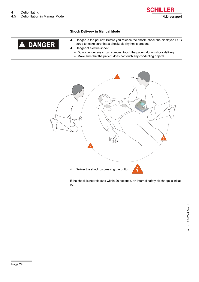#### **Shock Delivery in Manual Mode**



– Do not, under any circumstances, touch the patient during shock delivery.

FRED easyport

**SCHILLER** 

– Make sure that the patient does not touch any conducting objects.



If the shock is not released within 20 seconds, an internal safety discharge is initiated.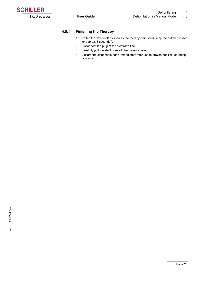<span id="page-26-0"></span>

#### **4.5.1 Finishing the Therapy**

- <span id="page-26-1"></span>1. Switch the device off as soon as the therapy is finished (keep the button pressed for approx. 3 seconds ).
- 2. Disconnect the plug of the electrode line.
- 3. Carefully pull the electrodes off the patient's skin.
- 4. Discard the disposable pads immediately after use to prevent their reuse (hospital waste).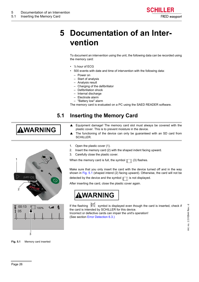

# <span id="page-27-0"></span>**5 Documentation of an Intervention**

To document an intervention using the unit, the following data can be recorded using the memory card:

- $\cdot$  % hour of ECG
- 500 events with date and time of intervention with the following data:
	- Power on
	- Start of analysis
	- Analysis result
	- Charging of the defibrillator
	- Defibrillation shock
	- Internal discharge
	- Electrode alarm
- <span id="page-27-2"></span>– "Battery low" alarm The memory card is evaluated on a PC using the SAED READER software.

### **5.1 Inserting the Memory Card**

# <span id="page-27-1"></span>AWARNING

1 card 2 00:13 100%



1. Open the plastic cover (1).

**SCHILLER** 

2. Insert the memory card (2) with the shaped indent facing upward.

plastic cover. This is to prevent moisture in the device.

3. Carefully close the plastic cover.

When the memory card is full, the symbol  $\equiv \top$  (3) flashes.

Make sure that you only insert the card with the device turned off and in the way shown in Fig. 5.1 (shaped intend (2) facing upward). Otherwise, the card will not be

 $\blacktriangle$  Equipment damage! The memory card slot must always be covered with the

 $\triangle$  The functioning of the device can only be guaranteed with an SD card from

detected by the device and the symbol  $\boxed{\mathbb{T}}$  is not displayed.

After inserting the card, close the plastic cover again.



If the flashing  $\mathbb{K}\$  symbol is displayed even though the card is inserted, check if the card is intended by SCHILLER for this device. Incorrect or defective cards can impair the unit's operation! (See section [Error Detection](#page-31-0) [6.3.](#page-31-0))

**Fig. 5.1** Memory card inserted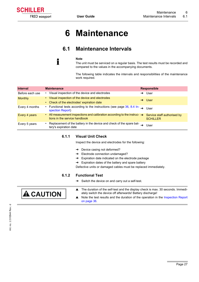<span id="page-28-1"></span><span id="page-28-0"></span>

# **6 Maintenance**

### <span id="page-28-5"></span>**6.1 Maintenance Intervals**

#### **Note**

i

The unit must be serviced on a regular basis. The test results must be recorded and compared to the values in the accompanying documents.

The following table indicates the intervals and responsibilities of the maintenance work required.

| <b>Interval</b> | <b>Maintenance</b>                                                                                                     |   | <b>Responsible</b>                             |
|-----------------|------------------------------------------------------------------------------------------------------------------------|---|------------------------------------------------|
| Before each use | Visual inspection of the device and electrodes<br>٠                                                                    | → | User                                           |
| <b>Monthly</b>  | • Visual inspection of the device and electrodes<br>• Check of the electrodes' expiration date                         |   | User <sup>1</sup>                              |
| Every 4 months  | • Functional tests according to the instructions (see page 36, 8.4 In- $\rightarrow$ User<br>spection Report)          |   |                                                |
| Every 4 years   | • All measurement inspections and calibration according to the instruc- $\rightarrow$<br>tions in the service handbook |   | Service staff authorised by<br><b>SCHILLER</b> |
| Every 5 years   | • Replacement of the battery in the device and check of the spare bat-<br>tery's expiration date                       |   | User                                           |

#### <span id="page-28-2"></span>**6.1.1 Visual Unit Check**

Inspect the device and electrodes for the following:

- $\rightarrow$  Device casing not deformed?
- $\rightarrow$  Electrode connection undamaged?
- $\rightarrow$  Expiration date indicated on the electrode package
- $\rightarrow$  Expiration dates of the battery and spare battery

<span id="page-28-4"></span>Defective units or damaged cables must be replaced immediately.

#### **6.1.2 Functional Test**

<span id="page-28-6"></span> $\rightarrow$  Switch the device on and carry out a self-test.

<span id="page-28-3"></span>

- ▲ The duration of the self-test and the display check is max. 30 seconds. Immediately switch the device off afterwards! Battery discharge!
- $\triangle$  Note the test results and the duration of the operation in the [Inspection Report](#page-37-0) on page [36.](#page-37-0)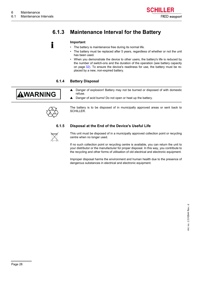## **6.1.3 Maintenance Interval for the Battery**

<span id="page-29-0"></span>

#### <span id="page-29-4"></span>**Important**

- The battery is maintenance free during its normal life.
- The battery must be replaced after 5 years, regardless of whether or not the unit has been used.
- When you demonstrate the device to other users, the battery's life is reduced by the number of switch-ons and the duration of the operation (see battery capacity on page [32](#page-33-1)). To ensure the device's readiness for use, the battery must be replaced by a new, non-expired battery.

#### **6.1.4 Battery Disposal**

refuse.

SCHILLER.

# <span id="page-29-2"></span><span id="page-29-1"></span>AWARNING



The battery is to be disposed of in municipally approved areas or sent back to

<span id="page-29-3"></span>▲ Danger of explosion! Battery may not be burned or disposed of with domestic

#### **6.1.5 Disposal at the End of the Device's Useful Life**

▲ Danger of acid burns! Do not open or heat up the battery.



This unit must be disposed of in a municipally approved collection point or recycling centre when no longer used.

If no such collection point or recycling centre is available, you can return the unit to your distributor or the manufacturer for proper disposal. In this way, you contribute to the recycling and other forms of utilisation of old electrical and electronic equipment.

Improper disposal harms the environment and human health due to the presence of dangerous substances in electrical and electronic equipment.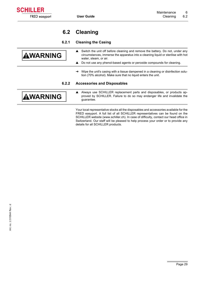### <span id="page-30-4"></span>**6.2 Cleaning**

FRED easyport

**SCHILLER** 

<span id="page-30-1"></span><span id="page-30-0"></span>j.

#### **6.2.1 Cleaning the Casing**

<span id="page-30-2"></span>

| <b>AWARNING</b> | Switch the unit off before cleaning and remove the battery. Do not, under any<br>circumstances, immerse the apparatus into a cleaning liquid or sterilise with hot<br>water, steam, or air.<br>Do not use any phenol-based agents or peroxide compounds for cleaning. |
|-----------------|-----------------------------------------------------------------------------------------------------------------------------------------------------------------------------------------------------------------------------------------------------------------------|
|                 | Wipe the unit's casing with a tissue dampened in a cleaning or disinfection solu-                                                                                                                                                                                     |
|                 | tion (70% alcohol). Make sure that no liquid enters the unit.                                                                                                                                                                                                         |
| 6.2.2           | <b>Accessories and Disposables</b>                                                                                                                                                                                                                                    |
| <b>WARNING</b>  | Always use SCHILLER replacement parts and disposables, or products ap-<br>proved by SCHILLER. Failure to do so may endanger life and invalidate the<br>quarantee.                                                                                                     |
|                 | Your local representative stocks all the disposables and accessories available for the                                                                                                                                                                                |

<span id="page-30-3"></span>Your local representative stocks all the disposables and accessories available for the FRED easyport. A full list of all SCHILLER representatives can be found on the SCHILLER website (www.schiller.ch). In case of difficulty, contact our head office in Switzerland. Our staff will be pleased to help process your order or to provide any details for all SCHILLER products.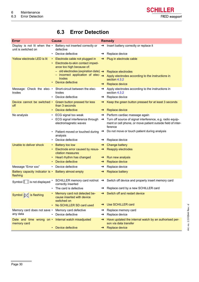

### <span id="page-31-2"></span>**6.3 Error Detection**

<span id="page-31-3"></span><span id="page-31-1"></span><span id="page-31-0"></span>

| <b>Error</b>                                                               | <b>Cause</b>                                                                                                   |               | <b>Remedy</b>                                                                                                                       |
|----------------------------------------------------------------------------|----------------------------------------------------------------------------------------------------------------|---------------|-------------------------------------------------------------------------------------------------------------------------------------|
| Display is not lit when the $\cdot$<br>unit is switched on                 | Battery not inserted correctly or<br>defective                                                                 |               | $\rightarrow$ Insert battery correctly or replace it                                                                                |
|                                                                            | Device defective                                                                                               |               | Replace device                                                                                                                      |
| Yellow electrode LED is lit                                                | • Electrode cable not plugged in<br>Electrode-to-skin contact imped-<br>ance too high because of:              |               | Plug in electrode cable                                                                                                             |
|                                                                            | - old electrodes (expiration date) $\rightarrow$<br>$-$ incorrect application of elec- $\rightarrow$<br>trodes |               | Replace electrodes<br>Apply electrodes according to the instructions in<br>section 4.3.2                                            |
|                                                                            | Device defective                                                                                               |               | Replace device                                                                                                                      |
| trodes                                                                     | Message: Check the elec- • Short-circuit between the elec-<br>trodes                                           | $\rightarrow$ | Apply electrodes according to the instructions in<br>section 4.3.2                                                                  |
|                                                                            | Device defective                                                                                               | $\rightarrow$ | Replace device                                                                                                                      |
| off                                                                        | Device cannot be switched • Green button pressed for less<br>than 3 seconds                                    |               | Keep the green button pressed for at least 3 seconds                                                                                |
|                                                                            | Device defective                                                                                               |               | Replace device                                                                                                                      |
| No analysis                                                                | • ECG signal too weak                                                                                          |               | $\rightarrow$ Perform cardiac massage again                                                                                         |
|                                                                            | ECG signal interference through<br>electromagnetic waves                                                       | $\rightarrow$ | Turn off source of signal interference, e.g. radio equip-<br>ment or cell phone, or move patient outside field of inter-<br>ference |
|                                                                            | Patient moved or touched during<br>analysis                                                                    | $\rightarrow$ | Do not move or touch patient during analysis                                                                                        |
|                                                                            | Device defective                                                                                               |               | Replace device                                                                                                                      |
| Unable to deliver shock                                                    | Battery too low<br>$\bullet$ .                                                                                 | $\rightarrow$ | Change battery                                                                                                                      |
|                                                                            | Electrode error caused by resus- $\rightarrow$ Reapply electrodes<br>citation measures                         |               |                                                                                                                                     |
|                                                                            | Heart rhythm has changed                                                                                       |               | $\rightarrow$ Run new analysis                                                                                                      |
|                                                                            | Device defective                                                                                               | $\rightarrow$ | Replace device                                                                                                                      |
| Message "Error xxx"                                                        | • Device defective                                                                                             | $\rightarrow$ | Replace device                                                                                                                      |
| Battery capacity indicator is • Battery almost empty<br>flashing           |                                                                                                                | $\rightarrow$ | <b>Replace battery</b>                                                                                                              |
| Symbol $\left[\begin{array}{c} 0 \\ 0 \end{array}\right]$ is not displayed | correctly inserted                                                                                             |               | SCHILLER memory card not/not $\rightarrow$ Switch off device and properly insert memory card                                        |
|                                                                            | The card is defective                                                                                          |               | Replace card by a new SCHILLER card                                                                                                 |
| Symbol $\boxed{\mathbb{M}}$ is flashing                                    | Memory card not detected be-<br>cause inserted with device<br>switched on                                      |               | Switch off and restart device                                                                                                       |
|                                                                            | No SCHILLER SD card used                                                                                       |               | Use SCHILLER card                                                                                                                   |
| Memory card does not save •<br>any data                                    | Memory card defective<br>Device defective                                                                      | →             | Replace memory card<br>Replace device                                                                                               |
| Date and time wrong on $\cdot$<br>memory card                              | Internal watch misadjusted                                                                                     | $\rightarrow$ | Have updated the internal watch by an authorised per-<br>son via data transfer                                                      |
|                                                                            | Device defective<br>$\bullet$                                                                                  |               | $\rightarrow$ Replace device                                                                                                        |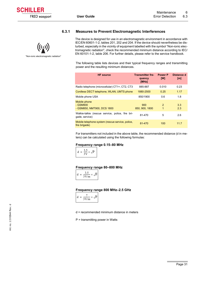#### **6.3.1 Measures to Prevent Electromagnetic Interferences**

<span id="page-32-0"></span>

The device is designed for use in an electromagnetic environment in accordance with IEC/EN 60601-1-2, tables 201, 202 and 204. If the device should nevertheless be disturbed, especially in the vicinity of equipment labelled with the symbol "Non-ionic electromagnetic radiation", check the recommended minimum distance according to IEC/ EN 60101-1-2, table 206. For further details, please refer to the service handbook.

The following table lists devices and their typical frequency ranges and transmitting power and the resulting minimum distances.

| <b>HF</b> source                                                   | <b>Transmitter fre-</b><br>quency<br>[MHz] | <b>Power P</b><br><b>IWI</b> | Distance d<br>[m] |
|--------------------------------------------------------------------|--------------------------------------------|------------------------------|-------------------|
| Radio telephone (microcellular) CT1+, CT2, CT3                     | 885-887                                    | 0.010                        | 0.23              |
| Cordless DECT telephone, WLAN, UMTS phone                          | 1880-2500                                  | 0.25                         | 1.17              |
| Mobile phone USA                                                   | 850/1900                                   | 0.6                          | 1.8               |
| Mobile phone<br>- GSM900<br>- GSM850, NMT900, DCS 1800             | 900<br>850, 900, 1800                      | $\mathcal{P}$<br>1           | 3.3<br>2.3        |
| Walkie-talkie (rescue service, police, fire bri-<br>qade, service) | 81-470                                     | 5                            | 2.6               |
| Mobile telephone system (rescue service, police,<br>fire brigade)  | 81-470                                     | 100                          | 11.7              |

For transmitters not included in the above table, the recommended distance (d in meters) can be calculated using the following formulas:

#### **Frequency range 0.15–80 MHz**



**Frequency range 80–800 MHz**



**Frequency range 800 MHz–2.5 GHz** 



d = recommended minimum distance in meters

P = transmitting power in Watts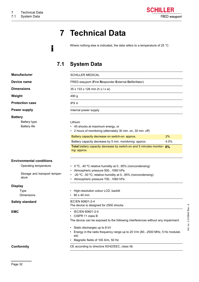# **7 Technical Data**

Where nothing else is indicated, the data refers to a temperature of 25 °C.

### **7.1 System Data**

<span id="page-33-0"></span>i

<span id="page-33-4"></span><span id="page-33-3"></span><span id="page-33-2"></span><span id="page-33-1"></span>

| <b>Manufacturer</b>                                                                                | <b>SCHILLER MEDICAL</b>                                                                                                                                                                                                                                                                                               |            |
|----------------------------------------------------------------------------------------------------|-----------------------------------------------------------------------------------------------------------------------------------------------------------------------------------------------------------------------------------------------------------------------------------------------------------------------|------------|
| Device name                                                                                        | FRED easyport (First Responder External Defibrillator)                                                                                                                                                                                                                                                                |            |
| <b>Dimensions</b>                                                                                  | $35 \times 133 \times 126$ mm (h x l x w)                                                                                                                                                                                                                                                                             |            |
| Weight                                                                                             | 490 g                                                                                                                                                                                                                                                                                                                 |            |
| <b>Protection case</b>                                                                             | IPX <sub>4</sub>                                                                                                                                                                                                                                                                                                      |            |
| <b>Power supply</b>                                                                                | Internal power supply                                                                                                                                                                                                                                                                                                 |            |
| <b>Battery</b><br>Battery type<br><b>Battery life</b>                                              | Lithium<br>• 45 shocks at maximum energy, or<br>• 2 hours of monitoring (alternately 30 min. on, 30 min. off)<br>Battery capacity decrease on switch-on: approx.<br>Battery capacity decrease by 5 min. monitoring: approx.<br>Total battery capacity decrease by switch-on and 5 minutes monitor- 6%<br>ing: approx. | 2%<br>4.0% |
| <b>Environmental conditions</b><br>Operating temperature<br>Storage and transport temper-<br>ature | 0 °C40 °C relative humidity at 095% (noncondensing)<br>• Atmospheric pressure 5001060 hPa<br>-20 °C50 °C; relative humidity at 095% (noncondensing)<br>Atmospheric pressure 7001060 hPa                                                                                                                               |            |
| <b>Display</b>                                                                                     |                                                                                                                                                                                                                                                                                                                       |            |
| Type<br><b>Dimensions</b>                                                                          | High-resolution colour LCD, backlit<br>60 x 40 mm                                                                                                                                                                                                                                                                     |            |
| <b>Safety standard</b>                                                                             | IEC/EN 60601-2-4<br>The device is designed for 2500 shocks                                                                                                                                                                                                                                                            |            |
| <b>EMC</b>                                                                                         | • IEC/EN 60601-2-4<br>CISPR 11 class B<br>The device can be exposed to the following interferences without any impairment:<br>Static discharges up to 8 kV<br>Energy in the radio frequency range up to 20 V/m (802500 MHz, 5 Hz modulat-<br>ed)<br>Magnetic fields of 100 A/m, 50 Hz                                 |            |
| Conformity                                                                                         | CE according to directive 93/42/EEC, class IIb                                                                                                                                                                                                                                                                        |            |

Art. no.: 2.510544 Rev.: d Art. no.: 2.510544 Rev.: d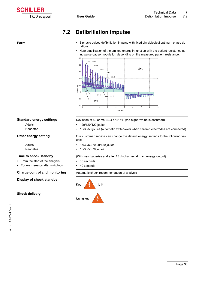

### <span id="page-34-2"></span>**7.2 Defibrillation Impulse**

- <span id="page-34-0"></span>**Form •** Biphasic pulsed defibrillation impulse with fixed physiological optimum phase durations
	- Near stabilisation of the emitted energy in function with the patient resistance using pulse-pause modulation depending on the measured patient resistance.



#### <span id="page-34-3"></span>**Standard energy settings**

Adults Neonates

#### **Other energy setting**

Adults Neonates

#### <span id="page-34-4"></span>**Time to shock standby**

- From the start of the analysis
- For max. energy after switch-on

#### **Display of shock standby**

#### **Shock delivery**

Deviation at 50 ohms: ±3 J or ±15% (the higher value is assumed)

- 120/120/120 joules
- 15/30/50 joules (automatic switch-over when children electrodes are connected)

Our customer service can change the default energy settings to the following values:

- 15/30/50/70/90/120 joules
- 15/30/50/70 joules

(With new batteries and after 15 discharges at max. energy output)

- 30 seconds
- 40 seconds

<span id="page-34-1"></span>**Charge control and monitoring** Automatic shock recommendation of analysis

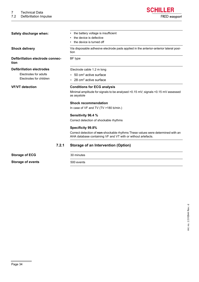7.2 Defibrillation Impulse

<span id="page-35-3"></span><span id="page-35-2"></span><span id="page-35-1"></span><span id="page-35-0"></span>

| Safety discharge when:                   | the battery voltage is insufficient<br>the device is defective<br>the device is turned off                                                      |  |  |
|------------------------------------------|-------------------------------------------------------------------------------------------------------------------------------------------------|--|--|
| <b>Shock delivery</b>                    | Via disposable adhesive electrode pads applied in the anterior-anterior lateral posi-<br>tion                                                   |  |  |
| Defibrillation electrode connec-<br>tion | BF type                                                                                                                                         |  |  |
| <b>Defibrillation electrodes</b>         | Electrode cable 1.2 m long                                                                                                                      |  |  |
| Electrodes for adults                    | $\cdot$ 50 cm <sup>2</sup> active surface                                                                                                       |  |  |
| Electrodes for children                  | $\cdot$ 28 cm <sup>2</sup> active surface                                                                                                       |  |  |
| <b>VF/VT</b> detection                   | <b>Conditions for ECG analysis</b>                                                                                                              |  |  |
|                                          | Minimal amplitude for signals to be analysed $>0.15$ mV; signals $<0.15$ mV assessed<br>as asystole                                             |  |  |
|                                          | <b>Shock recommendation</b>                                                                                                                     |  |  |
|                                          | In case of VF and TV (TV > 180 b/min.)                                                                                                          |  |  |
|                                          | Sensitivity 96.4 %                                                                                                                              |  |  |
|                                          | Correct detection of shockable rhythms                                                                                                          |  |  |
|                                          | Specificity 99.8%                                                                                                                               |  |  |
|                                          | Correct detection of non-shockable rhythms These values were determined with an<br>AHA database containing VF and VT with or without artefacts. |  |  |
| 7.2.1                                    | <b>Storage of an Intervention (Option)</b>                                                                                                      |  |  |
| <b>Storage of ECG</b>                    | 30 minutes                                                                                                                                      |  |  |
| <b>Storage of events</b>                 | 500 events                                                                                                                                      |  |  |

FRED easyport

**SCHILLER**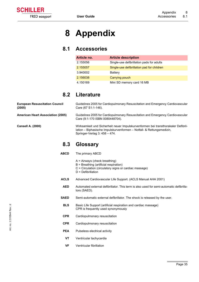# **8 Appendix**

<span id="page-36-1"></span><span id="page-36-0"></span>FRED easyport

**SCHILLER** 

### **8.1 Accessories**

| Article no. | <b>Article description</b>                 |
|-------------|--------------------------------------------|
| 2.155056    | Single-use defibrillation pads for adults  |
| 2.155057    | Single-use defibrillation pad for children |
| 3.940002    | <b>Battery</b>                             |
| 2.156038    | Carrying pouch                             |
| 4.150169    | Mini SD memory card 16 MB                  |

### **8.2 Literature**

<span id="page-36-3"></span><span id="page-36-2"></span>

|                                                 | $A =$ Airways (check breathing)                                                                                                                                                             |
|-------------------------------------------------|---------------------------------------------------------------------------------------------------------------------------------------------------------------------------------------------|
| <b>ABCD</b>                                     | The primary ABCD                                                                                                                                                                            |
| 8.3                                             | <b>Glossary</b>                                                                                                                                                                             |
| <b>Cansell A. (2000)</b>                        | Wirksamkeit und Sicherheit neuer Impulskurvenformen bei transthorakaler Defibril-<br>lation – Biphasische Impulskurvenformen – Notfall- & Rettungsmedizin,<br>Springer-Verlag 3: 458 - 474. |
| American Heart Association (2005)               | Guidelines 2005 for Cardiopulmonary Resuscitation and Emergency Cardiovascular<br>Care (9:1-170 ISBN 0080448704).                                                                           |
| <b>European Resuscitation Council</b><br>(2005) | Guidelines 2005 for Cardiopulmonary Resuscitation and Emergency Cardiovascular<br>Care (67 S1:1-146).                                                                                       |

- B = Breathing (artificial respiration)
- C = Circulation (circulatory signs or cardiac massage)
- D = Defibrillation
- **ACLS** Advanced Cardiovascular Life Support. (ACLS Manual AHA 2001)
	- **AED** Automated external defibrillator. This term is also used for semi-automatic defibrillators (SAED).
- **SAED** Semi-automatic external defibrillator. The shock is released by the user.
	- **BLS** Basic Life Support (artificial respiration and cardiac massage) CPR is frequently used synonymously
- **CPR** Cardiopulmonary resuscitation
- **CPR** Cardiopulmonary resuscitation
- **PEA** Pulseless electrical activity
- **VT** Ventricular tachycardia
- **VF** Ventricular fibrillation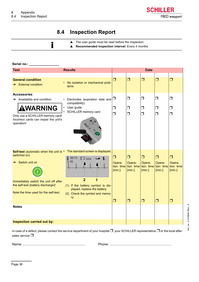**SCHILLER** FRED easyport

### **8.4 Inspection Report**

SCHILLER memory card

<span id="page-37-0"></span> $\blacktriangle$  The user guide must be read before the inspection. i ▲ Recommended inspection interval: Every 4 months Serial no.: **Test Results Date General condition** ❒ ❒ ❒ ❒ ❒ • No isolation or mechanical prob-<br>
→ External condition lems **Accessories** • Electrodes (expiration date and  $\Box$ ❒  $\Box$ ❒ ❒  $\rightarrow$  Availability and condition compatibility) **VARNING** User guide

❒  $\Box$ 

❒  $\Box$ 

❒ ❒

❒ ❒

❒ ❒

| Only use a SCHILLER memory card!<br>Incorrect cards can impair the unit's<br>operation! |                                   | $\Box$ | . .                           | $\Box$ | $\blacksquare$ | ப          |
|-----------------------------------------------------------------------------------------|-----------------------------------|--------|-------------------------------|--------|----------------|------------|
| <b>Self-test</b> (automatic when the unit is $\cdot$                                    | The standard screen is displayed. |        |                               |        |                |            |
| switched on)                                                                            | 00:13<br>$E \parallel$            | □      | $\Box$                        | $\Box$ | ⊓              | □          |
| Switch unit on                                                                          | ħ<br>100%<br>05                   | Opera- | Opera-                        | Opera- | Opera-         | Opera-     |
|                                                                                         |                                   |        | tion time tion time tion time |        | tion time      | tion time  |
|                                                                                         |                                   | [min.] | [min.]                        | [min.] | $[min.]$ :     | $[min.]$ : |
| Immediately switch the unit off after                                                   | $\overline{2}$                    |        |                               |        |                |            |
| the self-test (battery discharge)!                                                      | (1) If the battery symbol is dis- |        |                               |        |                |            |
|                                                                                         | played, replace the battery.      |        |                               |        |                |            |
| Note the time used for the self-test.                                                   | Check the symbol and memo-<br>(2) |        |                               |        |                |            |
|                                                                                         | ry.                               | □      | $\Box$                        | $\Box$ | ▢              | ▢          |
|                                                                                         |                                   |        |                               |        |                |            |
| <b>Notes</b>                                                                            |                                   |        |                               |        |                |            |
|                                                                                         |                                   |        |                               |        |                |            |
|                                                                                         |                                   |        |                               |        |                |            |
| <b>Inspection carried out by:</b>                                                       |                                   |        |                               |        |                |            |
|                                                                                         |                                   |        |                               |        |                |            |

In case of a defect, please contact the service department of your hospital ❒, your SCHILLER representative ❒ or the local aftersales service ❒.

Name: ................................................................... Phone: ...................................................................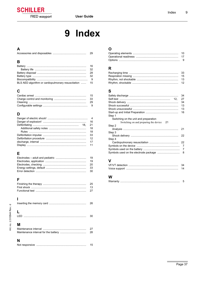

# 9 Index

### <span id="page-38-0"></span> $\mathsf{A}$

|  | 29 |
|--|----|

### $\overline{B}$

|                                                        | 16  |
|--------------------------------------------------------|-----|
|                                                        | -32 |
|                                                        | 28  |
|                                                        | -32 |
|                                                        | -9  |
| BLS AED algorithm or cardiopulmonary resuscitation  15 |     |

### $\mathbf c$

| <b>15</b> |
|-----------|
|           |
|           |
|           |

### D

|  | 16 |
|--|----|
|  | 21 |
|  | 18 |
|  | 18 |
|  | 33 |
|  | 12 |
|  | 17 |
|  | 11 |
|  |    |

### $\overline{E}$

| 19  |
|-----|
| 19  |
|     |
| -33 |
|     |

### $\mathsf{F}$

### $\overline{1}$

|   | 26       |
|---|----------|
|   | 30       |
| м | 27<br>28 |
| N | 15       |

### $\mathbf{o}$

### $\overline{\mathsf{R}}$

### $\mathbf{s}$

|                                             | 34 |
|---------------------------------------------|----|
|                                             | 27 |
|                                             | 34 |
|                                             | 13 |
|                                             | 13 |
|                                             | 16 |
| Step 1                                      |    |
| Switching on the unit and preparation       |    |
| Switching on and preparing the device<br>21 |    |
| Step 2                                      |    |
|                                             | 21 |
| Step 3                                      |    |
|                                             | 22 |
| Step 4                                      |    |
|                                             | 22 |
|                                             | 7  |
|                                             | 7  |
|                                             | 8  |
|                                             |    |

### $\mathbf{V}$

#### $\boldsymbol{\mathsf{W}}$

|--|--|--|

I.